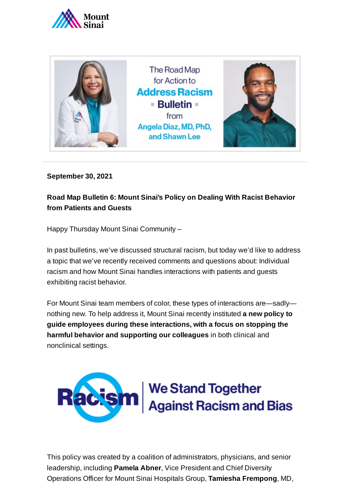



**September 30, 2021**

## **Road Map Bulletin 6: Mount Sinai's Policy on Dealing With Racist Behavior from Patients and Guests**

Happy Thursday Mount Sinai Community –

In past bulletins, we've discussed structural racism, but today we'd like to address a topic that we've recently received comments and questions about: Individual racism and how Mount Sinai handles interactions with patients and guests exhibiting racist behavior.

For Mount Sinai team members of color, these types of interactions are—sadly nothing new. To help address it, Mount Sinai recently instituted **a new policy to guide employees during these interactions, with a focus on stopping the harmful behavior and supporting our colleagues** in both clinical and nonclinical settings.



This policy was created by a coalition of administrators, physicians, and senior leadership, including **Pamela Abner**, Vice President and Chief Diversity Operations Officer for Mount Sinai Hospitals Group, **Tamiesha Frempong**, MD,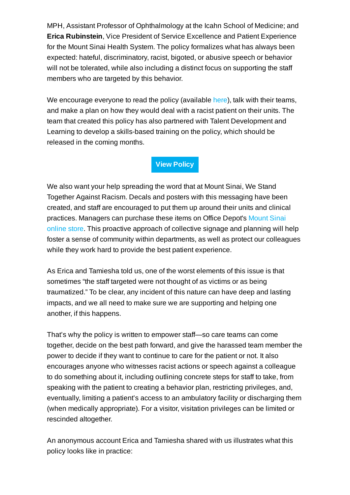MPH, Assistant Professor of Ophthalmology at the Icahn School of Medicine; and **Erica Rubinstein**, Vice President of Service Excellence and Patient Experience for the Mount Sinai Health System. The policy formalizes what has always been expected: hateful, discriminatory, racist, bigoted, or abusive speech or behavior will not be tolerated, while also including a distinct focus on supporting the staff members who are targeted by this behavior.

We encourage everyone to read the policy (available [here\)](https://mshs.policytech.com/dotNet/documents/?docid=31234), talk with their teams, and make a plan on how they would deal with a racist patient on their units. The team that created this policy has also partnered with Talent Development and Learning to develop a skills-based training on the policy, which should be released in the coming months.

**View [Policy](https://mshs.policytech.com/docview/?docid=31234)**

We also want your help spreading the word that at Mount Sinai, We Stand Together Against Racism. Decals and posters with this messaging have been created, and staff are encouraged to put them up around their units and clinical practices. Managers can purchase these items on Office [Depot's Mount](https://www.mountsinaibrandcenter.org/Guidelines/305) Sinai online store. This proactive approach of collective signage and planning will help foster a sense of community within departments, as well as protect our colleagues while they work hard to provide the best patient experience.

As Erica and Tamiesha told us, one of the worst elements of this issue is that sometimes "the staff targeted were not thought of as victims or as being traumatized." To be clear, any incident of this nature can have deep and lasting impacts, and we all need to make sure we are supporting and helping one another, if this happens.

That's why the policy is written to empower staff—so care teams can come together, decide on the best path forward, and give the harassed team member the power to decide if they want to continue to care for the patient or not. It also encourages anyone who witnesses racist actions or speech against a colleague to do something about it, including outlining concrete steps for staff to take, from speaking with the patient to creating a behavior plan, restricting privileges, and, eventually, limiting a patient's access to an ambulatory facility or discharging them (when medically appropriate). For a visitor, visitation privileges can be limited or rescinded altogether.

An anonymous account Erica and Tamiesha shared with us illustrates what this policy looks like in practice: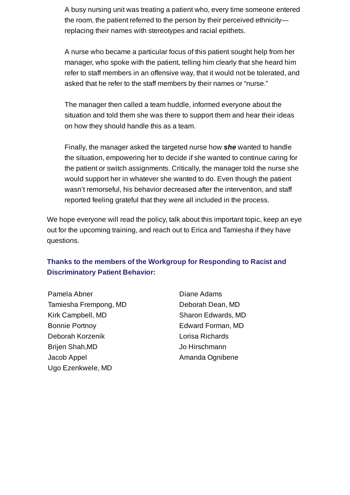A busy nursing unit was treating a patient who, every time someone entered the room, the patient referred to the person by their perceived ethnicity replacing their names with stereotypes and racial epithets.

A nurse who became a particular focus of this patient sought help from her manager, who spoke with the patient, telling him clearly that she heard him refer to staff members in an offensive way, that it would not be tolerated, and asked that he refer to the staff members by their names or "nurse."

The manager then called a team huddle, informed everyone about the situation and told them she was there to support them and hear their ideas on how they should handle this as a team.

Finally, the manager asked the targeted nurse how *she* wanted to handle the situation, empowering her to decide if she wanted to continue caring for the patient or switch assignments. Critically, the manager told the nurse she would support her in whatever she wanted to do. Even though the patient wasn't remorseful, his behavior decreased after the intervention, and staff reported feeling grateful that they were all included in the process.

We hope everyone will read the policy, talk about this important topic, keep an eye out for the upcoming training, and reach out to Erica and Tamiesha if they have questions.

## **Thanks to the members of the Workgroup for Responding to Racist and Discriminatory Patient Behavior:**

Pamela Abner Tamiesha Frempong, MD Kirk Campbell, MD Bonnie Portnoy Deborah Korzenik Brijen Shah,MD Jacob Appel Ugo Ezenkwele, MD

Diane Adams Deborah Dean, MD Sharon Edwards, MD Edward Forman, MD Lorisa Richards Jo Hirschmann Amanda Ognibene